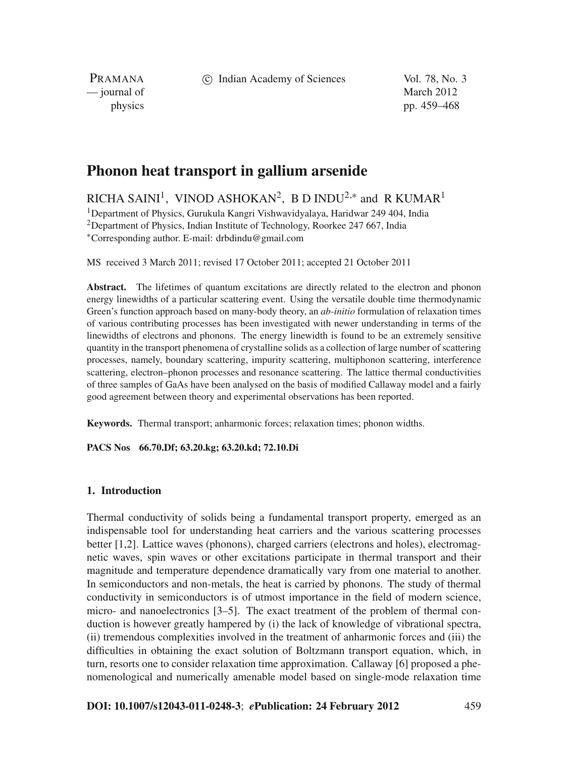c Indian Academy of Sciences Vol. 78, No. 3

PRAMANA — journal of March 2012

physics pp. 459–468

# **Phonon heat transport in gallium arsenide**

RICHA SAINI<sup>1</sup>, VINOD ASHOKAN<sup>2</sup>, B D INDU<sup>2,\*</sup> and R KUMAR<sup>1</sup>

1Department of Physics, Gurukula Kangri Vishwavidyalaya, Haridwar 249 404, India <sup>2</sup>Department of Physics, Indian Institute of Technology, Roorkee 247 667, India <sup>∗</sup>Corresponding author. E-mail: drbdindu@gmail.com

MS received 3 March 2011; revised 17 October 2011; accepted 21 October 2011

**Abstract.** The lifetimes of quantum excitations are directly related to the electron and phonon energy linewidths of a particular scattering event. Using the versatile double time thermodynamic Green's function approach based on many-body theory, an *ab-initio* formulation of relaxation times of various contributing processes has been investigated with newer understanding in terms of the linewidths of electrons and phonons. The energy linewidth is found to be an extremely sensitive quantity in the transport phenomena of crystalline solids as a collection of large number of scattering processes, namely, boundary scattering, impurity scattering, multiphonon scattering, interference scattering, electron–phonon processes and resonance scattering. The lattice thermal conductivities of three samples of GaAs have been analysed on the basis of modified Callaway model and a fairly good agreement between theory and experimental observations has been reported.

**Keywords.** Thermal transport; anharmonic forces; relaxation times; phonon widths.

# **PACS Nos 66.70.Df; 63.20.kg; 63.20.kd; 72.10.Di**

## **1. Introduction**

Thermal conductivity of solids being a fundamental transport property, emerged as an indispensable tool for understanding heat carriers and the various scattering processes better [1,2]. Lattice waves (phonons), charged carriers (electrons and holes), electromagnetic waves, spin waves or other excitations participate in thermal transport and their magnitude and temperature dependence dramatically vary from one material to another. In semiconductors and non-metals, the heat is carried by phonons. The study of thermal conductivity in semiconductors is of utmost importance in the field of modern science, micro- and nanoelectronics [3–5]. The exact treatment of the problem of thermal conduction is however greatly hampered by (i) the lack of knowledge of vibrational spectra, (ii) tremendous complexities involved in the treatment of anharmonic forces and (iii) the difficulties in obtaining the exact solution of Boltzmann transport equation, which, in turn, resorts one to consider relaxation time approximation. Callaway [6] proposed a phenomenological and numerically amenable model based on single-mode relaxation time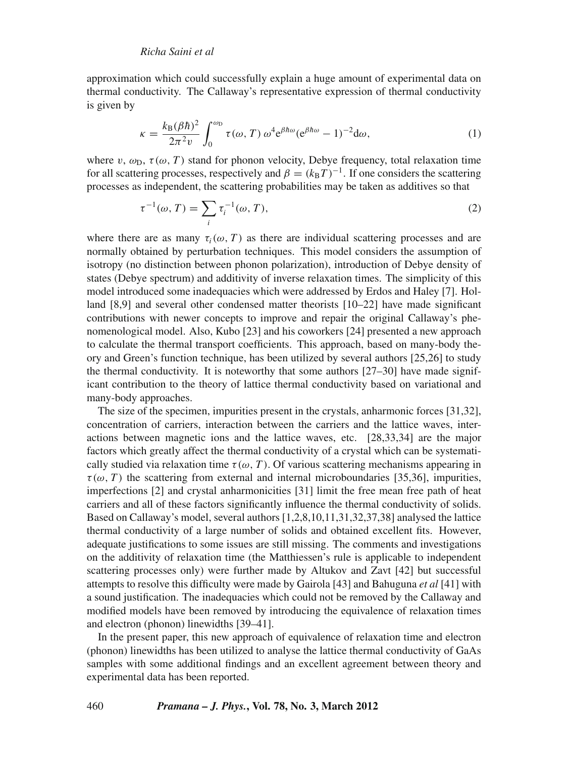approximation which could successfully explain a huge amount of experimental data on thermal conductivity. The Callaway's representative expression of thermal conductivity is given by

$$
\kappa = \frac{k_{\rm B}(\beta\hbar)^2}{2\pi^2 v} \int_0^{\omega_{\rm D}} \tau(\omega, T) \,\omega^4 e^{\beta\hbar\omega} (e^{\beta\hbar\omega} - 1)^{-2} d\omega,\tag{1}
$$

where v,  $\omega_D$ ,  $\tau(\omega, T)$  stand for phonon velocity, Debye frequency, total relaxation time for all scattering processes, respectively and  $\beta = (k_B T)^{-1}$ . If one considers the scattering processes as independent, the scattering probabilities may be taken as additives so that

$$
\tau^{-1}(\omega, T) = \sum_{i} \tau_i^{-1}(\omega, T), \qquad (2)
$$

where there are as many  $\tau_i(\omega, T)$  as there are individual scattering processes and are normally obtained by perturbation techniques. This model considers the assumption of isotropy (no distinction between phonon polarization), introduction of Debye density of states (Debye spectrum) and additivity of inverse relaxation times. The simplicity of this model introduced some inadequacies which were addressed by Erdos and Haley [7]. Holland [8,9] and several other condensed matter theorists [10–22] have made significant contributions with newer concepts to improve and repair the original Callaway's phenomenological model. Also, Kubo [23] and his coworkers [24] presented a new approach to calculate the thermal transport coefficients. This approach, based on many-body theory and Green's function technique, has been utilized by several authors [25,26] to study the thermal conductivity. It is noteworthy that some authors  $[27-30]$  have made significant contribution to the theory of lattice thermal conductivity based on variational and many-body approaches.

The size of the specimen, impurities present in the crystals, anharmonic forces [31,32], concentration of carriers, interaction between the carriers and the lattice waves, interactions between magnetic ions and the lattice waves, etc. [28,33,34] are the major factors which greatly affect the thermal conductivity of a crystal which can be systematically studied via relaxation time  $\tau(\omega, T)$ . Of various scattering mechanisms appearing in  $\tau(\omega, T)$  the scattering from external and internal microboundaries [35,36], impurities, imperfections [2] and crystal anharmonicities [31] limit the free mean free path of heat carriers and all of these factors significantly influence the thermal conductivity of solids. Based on Callaway's model, several authors [1,2,8,10,11,31,32,37,38] analysed the lattice thermal conductivity of a large number of solids and obtained excellent fits. However, adequate justifications to some issues are still missing. The comments and investigations on the additivity of relaxation time (the Matthiessen's rule is applicable to independent scattering processes only) were further made by Altukov and Zavt [42] but successful attempts to resolve this difficulty were made by Gairola [43] and Bahuguna *et al* [41] with a sound justification. The inadequacies which could not be removed by the Callaway and modified models have been removed by introducing the equivalence of relaxation times and electron (phonon) linewidths [39–41].

In the present paper, this new approach of equivalence of relaxation time and electron (phonon) linewidths has been utilized to analyse the lattice thermal conductivity of GaAs samples with some additional findings and an excellent agreement between theory and experimental data has been reported.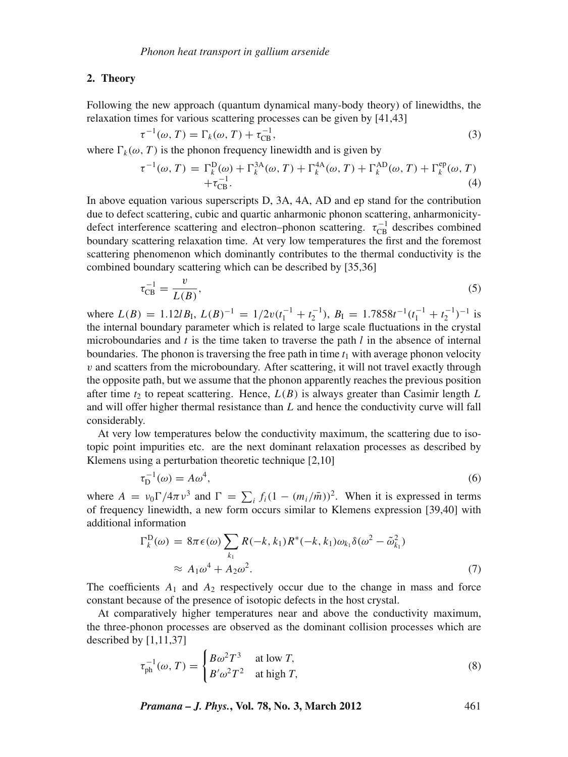#### **2. Theory**

Following the new approach (quantum dynamical many-body theory) of linewidths, the relaxation times for various scattering processes can be given by [41,43]

$$
\tau^{-1}(\omega, T) = \Gamma_k(\omega, T) + \tau_{\text{CB}}^{-1},\tag{3}
$$

where  $\Gamma_k(\omega, T)$  is the phonon frequency linewidth and is given by

$$
\tau^{-1}(\omega, T) = \Gamma_k^{\text{D}}(\omega) + \Gamma_k^{\text{3A}}(\omega, T) + \Gamma_k^{\text{4A}}(\omega, T) + \Gamma_k^{\text{AD}}(\omega, T) + \Gamma_k^{\text{ep}}(\omega, T) + \tau_{\text{CB}}^{-1}.
$$
\n(4)

In above equation various superscripts D, 3A, 4A, AD and ep stand for the contribution due to defect scattering, cubic and quartic anharmonic phonon scattering, anharmonicitydefect interference scattering and electron–phonon scattering.  $\tau_{CB}^{-1}$  describes combined boundary scattering relaxation time. At very low temperatures the first and the foremost scattering phenomenon which dominantly contributes to the thermal conductivity is the combined boundary scattering which can be described by [35,36]

$$
\tau_{\rm CB}^{-1} = \frac{v}{L(B)},\tag{5}
$$

where  $L(B) = 1.12lB_I$ ,  $L(B)^{-1} = 1/2v(t_1^{-1} + t_2^{-1})$ ,  $B_I = 1.7858t^{-1}(t_1^{-1} + t_2^{-1})^{-1}$  is the internal boundary parameter which is related to large scale fluctuations in the crystal microboundaries and *t* is the time taken to traverse the path *l* in the absence of internal boundaries. The phonon is traversing the free path in time  $t_1$  with average phonon velocity  $v$  and scatters from the microboundary. After scattering, it will not travel exactly through the opposite path, but we assume that the phonon apparently reaches the previous position after time  $t_2$  to repeat scattering. Hence,  $L(B)$  is always greater than Casimir length L and will offer higher thermal resistance than *L* and hence the conductivity curve will fall considerably.

At very low temperatures below the conductivity maximum, the scattering due to isotopic point impurities etc. are the next dominant relaxation processes as described by Klemens using a perturbation theoretic technique [2,10]

$$
\tau_{\mathcal{D}}^{-1}(\omega) = A\omega^4,\tag{6}
$$

where  $A = v_0 \Gamma / 4\pi v^3$  and  $\Gamma = \sum_i f_i (1 - (m_i / \bar{m}))^2$ . When it is expressed in terms of frequency linewidth, a new form occurs similar to Klemens expression [39,40] with additional information

$$
\Gamma_k^{\mathcal{D}}(\omega) = 8\pi \epsilon(\omega) \sum_{k_1} R(-k, k_1) R^*(-k, k_1) \omega_{k_1} \delta(\omega^2 - \tilde{\omega}_{k_1}^2)
$$
  
 
$$
\approx A_1 \omega^4 + A_2 \omega^2.
$$
 (7)

The coefficients  $A_1$  and  $A_2$  respectively occur due to the change in mass and force constant because of the presence of isotopic defects in the host crystal.

At comparatively higher temperatures near and above the conductivity maximum, the three-phonon processes are observed as the dominant collision processes which are described by [1,11,37]

$$
\tau_{\rm ph}^{-1}(\omega, T) = \begin{cases} B\omega^2 T^3 & \text{at low } T, \\ B'\omega^2 T^2 & \text{at high } T, \end{cases}
$$
 (8)

*Pramana – J. Phys.***, Vol. 78, No. 3, March 2012** 461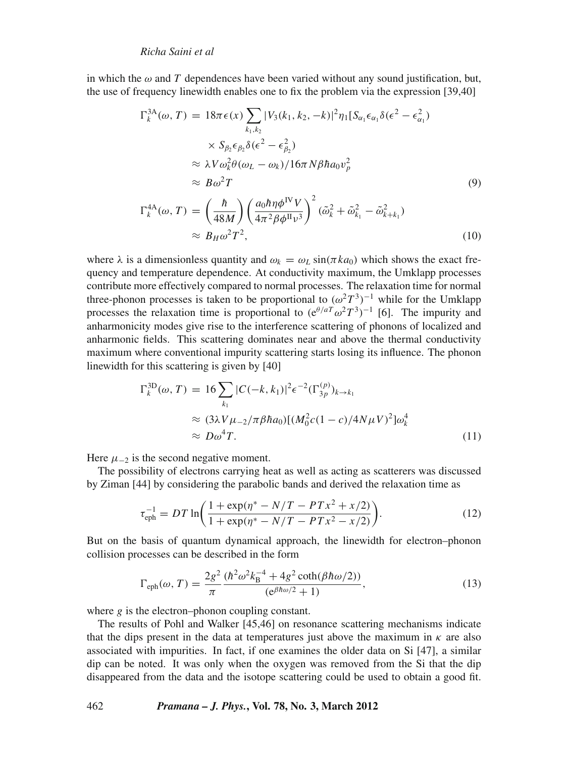in which the  $\omega$  and  $T$  dependences have been varied without any sound justification, but, the use of frequency linewidth enables one to fix the problem via the expression [39,40]

$$
\Gamma_k^{3A}(\omega, T) = 18\pi\epsilon(x) \sum_{k_1, k_2} |V_3(k_1, k_2, -k)|^2 \eta_1 [S_{\alpha_1} \epsilon_{\alpha_1} \delta(\epsilon^2 - \epsilon_{\alpha_1}^2)
$$
  
\n
$$
\times S_{\beta_2} \epsilon_{\beta_2} \delta(\epsilon^2 - \epsilon_{\beta_2}^2)
$$
  
\n
$$
\approx \lambda V \omega_k^2 \theta(\omega_L - \omega_k) / 16\pi N \beta \hbar a_0 v_p^2
$$
  
\n
$$
\approx B\omega^2 T
$$
  
\n
$$
\Gamma_k^{4A}(\omega, T) = \left(\frac{\hbar}{48M}\right) \left(\frac{a_0 \hbar \eta \phi^{\text{IV}} V}{4\pi^2 \beta \phi^{\text{II}} v^3}\right)^2 (\tilde{\omega}_k^2 + \tilde{\omega}_{k_1}^2 - \tilde{\omega}_{k+k_1}^2)
$$
  
\n
$$
\approx B_H \omega^2 T^2,
$$
 (10)

where  $\lambda$  is a dimensionless quantity and  $\omega_k = \omega_l \sin(\pi k a_0)$  which shows the exact frequency and temperature dependence. At conductivity maximum, the Umklapp processes contribute more effectively compared to normal processes. The relaxation time for normal three-phonon processes is taken to be proportional to  $(\omega^2 T^3)^{-1}$  while for the Umklapp processes the relaxation time is proportional to  $(e^{\theta/aT}\omega^2T^3)^{-1}$  [6]. The impurity and anharmonicity modes give rise to the interference scattering of phonons of localized and anharmonic fields. This scattering dominates near and above the thermal conductivity maximum where conventional impurity scattering starts losing its influence. The phonon linewidth for this scattering is given by [40]

$$
\Gamma_k^{\text{3D}}(\omega, T) = 16 \sum_{k_1} |C(-k, k_1)|^2 \epsilon^{-2} (\Gamma_{3p}^{(p)})_{k \to k_1}
$$
  
\n
$$
\approx (3\lambda V \mu_{-2} / \pi \beta \hbar a_0) [(M_0^2 c (1 - c) / 4N \mu V)^2] \omega_k^4
$$
  
\n
$$
\approx D\omega^4 T.
$$
 (11)

Here  $\mu_{-2}$  is the second negative moment.

The possibility of electrons carrying heat as well as acting as scatterers was discussed by Ziman [44] by considering the parabolic bands and derived the relaxation time as

$$
\tau_{\rm eph}^{-1} = DT \ln \left( \frac{1 + \exp(\eta^* - N/T - PTx^2 + x/2)}{1 + \exp(\eta^* - N/T - PTx^2 - x/2)} \right). \tag{12}
$$

But on the basis of quantum dynamical approach, the linewidth for electron–phonon collision processes can be described in the form

$$
\Gamma_{\rm eph}(\omega, T) = \frac{2g^2}{\pi} \frac{(\hbar^2 \omega^2 k_B^{-4} + 4g^2 \coth(\beta \hbar \omega/2))}{(e^{\beta \hbar \omega/2} + 1)},
$$
\n(13)

where *g* is the electron–phonon coupling constant.

The results of Pohl and Walker [45,46] on resonance scattering mechanisms indicate that the dips present in the data at temperatures just above the maximum in  $\kappa$  are also associated with impurities. In fact, if one examines the older data on Si [47], a similar dip can be noted. It was only when the oxygen was removed from the Si that the dip disappeared from the data and the isotope scattering could be used to obtain a good fit.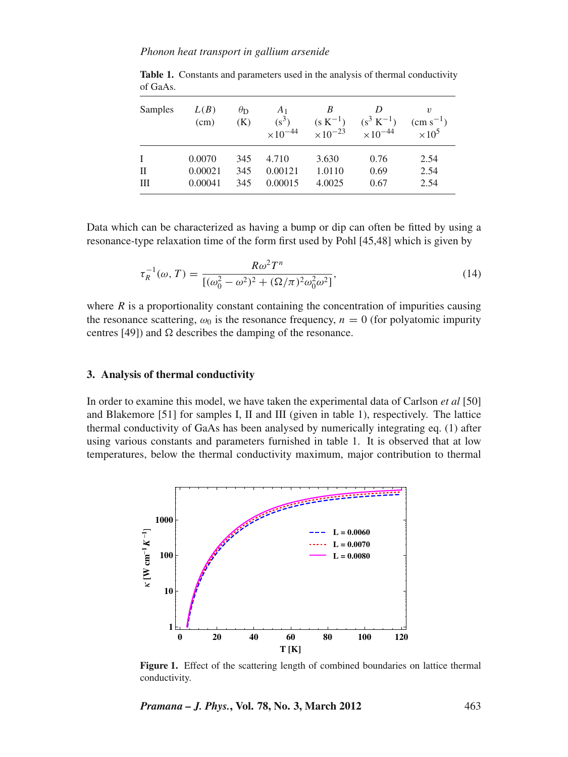| Samples | L(B)<br>(cm)      | $\theta_{\rm D}$<br>(K) | A <sub>1</sub><br>$(s^3)$<br>$\times 10^{-44}$ | B<br>$(s K^{-1})$<br>$\times 10^{-23}$ | D<br>$(s^3 K^{-1})$<br>$\times 10^{-44}$ | $\boldsymbol{v}$<br>$\rm (cm\; s^{-1})$<br>$\times 10^5$ |
|---------|-------------------|-------------------------|------------------------------------------------|----------------------------------------|------------------------------------------|----------------------------------------------------------|
| L<br>П  | 0.0070<br>0.00021 | 345<br>345              | 4.710<br>0.00121                               | 3.630<br>1.0110                        | 0.76<br>0.69                             | 2.54<br>2.54                                             |
| Ш       | 0.00041           | 345                     | 0.00015                                        | 4.0025                                 | 0.67                                     | 2.54                                                     |

**Table 1.** Constants and parameters used in the analysis of thermal conductivity of GaAs.

Data which can be characterized as having a bump or dip can often be fitted by using a resonance-type relaxation time of the form first used by Pohl [45,48] which is given by

$$
\tau_R^{-1}(\omega, T) = \frac{R\omega^2 T^n}{[(\omega_0^2 - \omega^2)^2 + (\Omega/\pi)^2 \omega_0^2 \omega^2]},
$$
\n(14)

where  $R$  is a proportionality constant containing the concentration of impurities causing the resonance scattering,  $\omega_0$  is the resonance frequency,  $n = 0$  (for polyatomic impurity centres [49]) and  $\Omega$  describes the damping of the resonance.

## **3. Analysis of thermal conductivity**

In order to examine this model, we have taken the experimental data of Carlson *et al* [50] and Blakemore [51] for samples I, II and III (given in table 1), respectively. The lattice thermal conductivity of GaAs has been analysed by numerically integrating eq. (1) after using various constants and parameters furnished in table 1. It is observed that at low temperatures, below the thermal conductivity maximum, major contribution to thermal



**Figure 1.** Effect of the scattering length of combined boundaries on lattice thermal conductivity.

*Pramana – J. Phys.***, Vol. 78, No. 3, March 2012** 463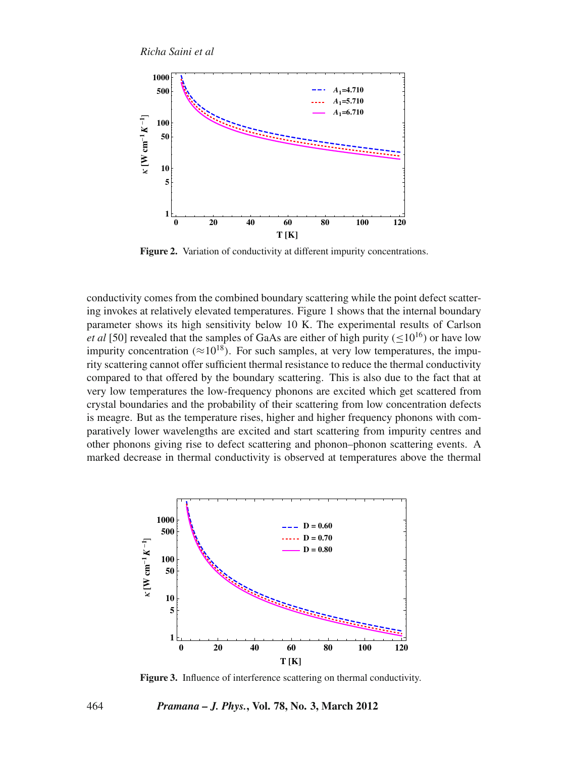

**Figure 2.** Variation of conductivity at different impurity concentrations.

conductivity comes from the combined boundary scattering while the point defect scattering invokes at relatively elevated temperatures. Figure 1 shows that the internal boundary parameter shows its high sensitivity below 10 K. The experimental results of Carlson *et al* [50] revealed that the samples of GaAs are either of high purity ( $\leq 10^{16}$ ) or have low impurity concentration ( $\approx 10^{18}$ ). For such samples, at very low temperatures, the impurity scattering cannot offer sufficient thermal resistance to reduce the thermal conductivity compared to that offered by the boundary scattering. This is also due to the fact that at very low temperatures the low-frequency phonons are excited which get scattered from crystal boundaries and the probability of their scattering from low concentration defects is meagre. But as the temperature rises, higher and higher frequency phonons with comparatively lower wavelengths are excited and start scattering from impurity centres and other phonons giving rise to defect scattering and phonon–phonon scattering events. A marked decrease in thermal conductivity is observed at temperatures above the thermal



**Figure 3.** Influence of interference scattering on thermal conductivity.

464 *Pramana – J. Phys.***, Vol. 78, No. 3, March 2012**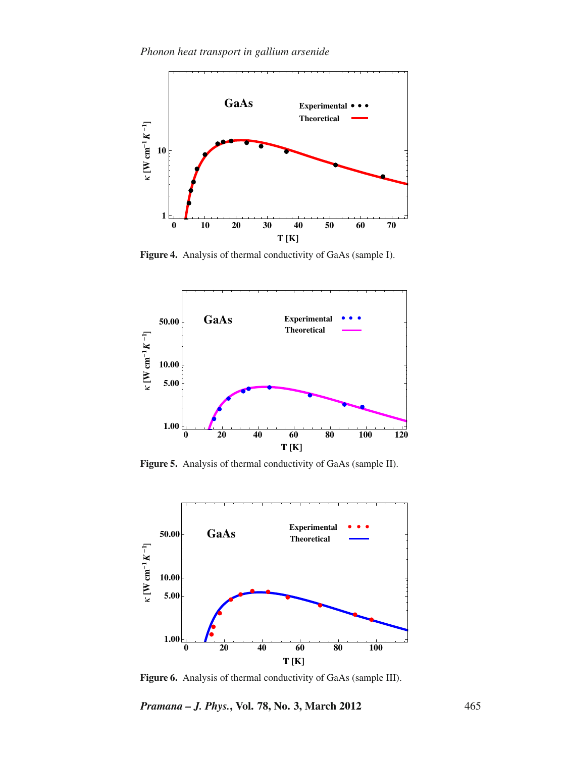

**Figure 4.** Analysis of thermal conductivity of GaAs (sample I).



**Figure 5.** Analysis of thermal conductivity of GaAs (sample II).



**Figure 6.** Analysis of thermal conductivity of GaAs (sample III).

*Pramana – J. Phys.***, Vol. 78, No. 3, March 2012** 465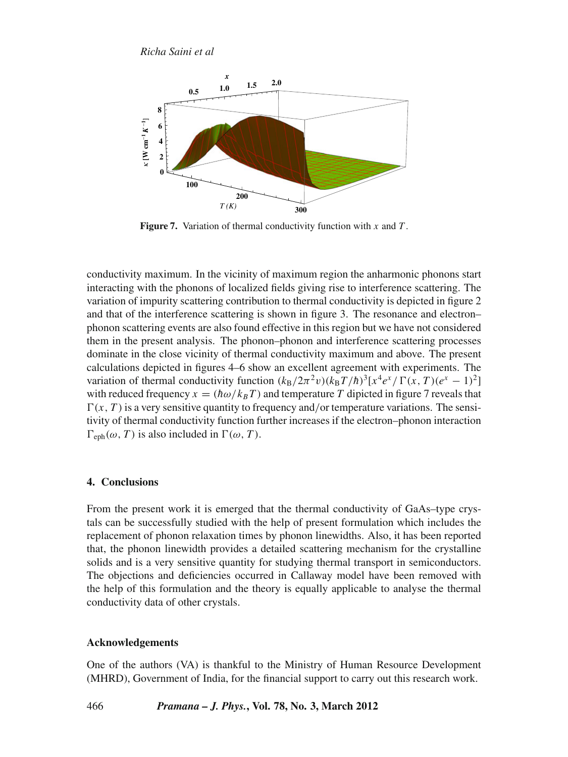

**Figure 7.** Variation of thermal conductivity function with *x* and *T* .

conductivity maximum. In the vicinity of maximum region the anharmonic phonons start interacting with the phonons of localized fields giving rise to interference scattering. The variation of impurity scattering contribution to thermal conductivity is depicted in figure 2 and that of the interference scattering is shown in figure 3. The resonance and electron– phonon scattering events are also found effective in this region but we have not considered them in the present analysis. The phonon–phonon and interference scattering processes dominate in the close vicinity of thermal conductivity maximum and above. The present calculations depicted in figures 4–6 show an excellent agreement with experiments. The variation of thermal conductivity function  $(k_B/2\pi^2v)(k_B T/\hbar)^3[x^4e^x/\Gamma(x, T)(e^x - 1)^2]$ with reduced frequency  $x = (h\omega/k_BT)$  and temperature *T* dipicted in figure 7 reveals that  $\Gamma(x, T)$  is a very sensitive quantity to frequency and/or temperature variations. The sensitivity of thermal conductivity function further increases if the electron–phonon interaction  $\Gamma_{\text{eph}}(\omega, T)$  is also included in  $\Gamma(\omega, T)$ .

## **4. Conclusions**

From the present work it is emerged that the thermal conductivity of GaAs–type crystals can be successfully studied with the help of present formulation which includes the replacement of phonon relaxation times by phonon linewidths. Also, it has been reported that, the phonon linewidth provides a detailed scattering mechanism for the crystalline solids and is a very sensitive quantity for studying thermal transport in semiconductors. The objections and deficiencies occurred in Callaway model have been removed with the help of this formulation and the theory is equally applicable to analyse the thermal conductivity data of other crystals.

## **Acknowledgements**

One of the authors (VA) is thankful to the Ministry of Human Resource Development (MHRD), Government of India, for the financial support to carry out this research work.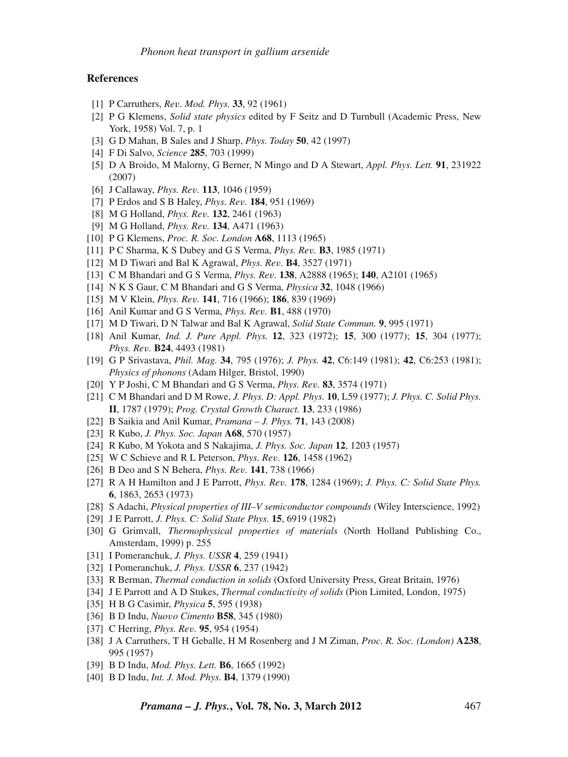#### **References**

- [1] P Carruthers, *Re*v*. Mod. Phys.* **33**, 92 (1961)
- [2] P G Klemens, *Solid state physics* edited by F Seitz and D Turnbull (Academic Press, New York, 1958) Vol. 7, p. 1
- [3] G D Mahan, B Sales and J Sharp, *Phys. Today* **50**, 42 (1997)
- [4] F Di Salvo, *Science* **285**, 703 (1999)
- [5] D A Broido, M Malorny, G Berner, N Mingo and D A Stewart, *Appl. Phys. Lett.* **91**, 231922 (2007)
- [6] J Callaway, *Phys. Re*v*.* **113**, 1046 (1959)
- [7] P Erdos and S B Haley, *Phys. Re*v*.* **184**, 951 (1969)
- [8] M G Holland, *Phys. Re*v*.* **132**, 2461 (1963)
- [9] M G Holland, *Phys. Re*v*.* **134**, A471 (1963)
- [10] P G Klemens, *Proc. R. Soc. London* **A68**, 1113 (1965)
- [11] P C Sharma, K S Dubey and G S Verma, *Phys. Re*v*.* **B3**, 1985 (1971)
- [12] M D Tiwari and Bal K Agrawal, *Phys. Re*v*.* **B4**, 3527 (1971)
- [13] C M Bhandari and G S Verma, *Phys. Re*v*.* **138**, A2888 (1965); **140**, A2101 (1965)
- [14] N K S Gaur, C M Bhandari and G S Verma, *Physica* **32**, 1048 (1966)
- [15] M V Klein, *Phys. Re*v*.* **141**, 716 (1966); **186**, 839 (1969)
- [16] Anil Kumar and G S Verma, *Phys. Re*v*.* **B1**, 488 (1970)
- [17] M D Tiwari, D N Talwar and Bal K Agrawal, *Solid State Commun.* **9**, 995 (1971)
- [18] Anil Kumar, *Ind. J. Pure Appl. Phys.* **12**, 323 (1972); **15**, 300 (1977); **15**, 304 (1977); *Phys. Re*v*.* **B24**, 4493 (1981)
- [19] G P Srivastava, *Phil. Mag.* **34**, 795 (1976); *J. Phys.* **42**, C6:149 (1981); **42**, C6:253 (1981); *Physics of phonons* (Adam Hilger, Bristol, 1990)
- [20] Y P Joshi, C M Bhandari and G S Verma, *Phys. Re*v*.* **83**, 3574 (1971)
- [21] C M Bhandari and D M Rowe, *J. Phys. D: Appl. Phys.* **10**, L59 (1977); *J. Phys. C. Solid Phys.* **II**, 1787 (1979); *Prog. Crystal Growth Charact.* **13**, 233 (1986)
- [22] B Saikia and Anil Kumar, *Pramana J. Phys.* **71**, 143 (2008)
- [23] R Kubo, *J. Phys. Soc. Japan* **A68**, 570 (1957)
- [24] R Kubo, M Yokota and S Nakajima, *J. Phys. Soc. Japan* **12**, 1203 (1957)
- [25] W C Schieve and R L Peterson, *Phys. Re*v*.* **126**, 1458 (1962)
- [26] B Deo and S N Behera, *Phys. Re*v*.* **141**, 738 (1966)
- [27] R A H Hamilton and J E Parrott, *Phys. Re*v*.* **178**, 1284 (1969); *J. Phys. C: Solid State Phys.* **6**, 1863, 2653 (1973)
- [28] S Adachi, *Physical properties of III–V semiconductor compounds* (Wiley Interscience, 1992)
- [29] J E Parrott, *J. Phys. C: Solid State Phys.* **15**, 6919 (1982)
- [30] G Grimvall, *Thermophysical properties of materials* (North Holland Publishing Co., Amsterdam, 1999) p. 255
- [31] I Pomeranchuk, *J. Phys. USSR* **4**, 259 (1941)
- [32] I Pomeranchuk, *J. Phys. USSR* **6**, 237 (1942)
- [33] R Berman, *Thermal conduction in solids* (Oxford University Press, Great Britain, 1976)
- [34] J E Parrott and A D Stukes, *Thermal conducti*v*ity of solids* (Pion Limited, London, 1975)
- [35] H B G Casimir, *Physica* **5**, 595 (1938)
- [36] B D Indu, *Nuo*v*o Cimento* **B58**, 345 (1980)
- [37] C Herring, *Phys. Re*v*.* **95**, 954 (1954)
- [38] J A Carruthers, T H Geballe, H M Rosenberg and J M Ziman, *Proc. R. Soc. (London)* **A238**, 995 (1957)
- [39] B D Indu, *Mod. Phys. Lett.* **B6**, 1665 (1992)
- [40] B D Indu, *Int. J. Mod. Phys.* **B4**, 1379 (1990)